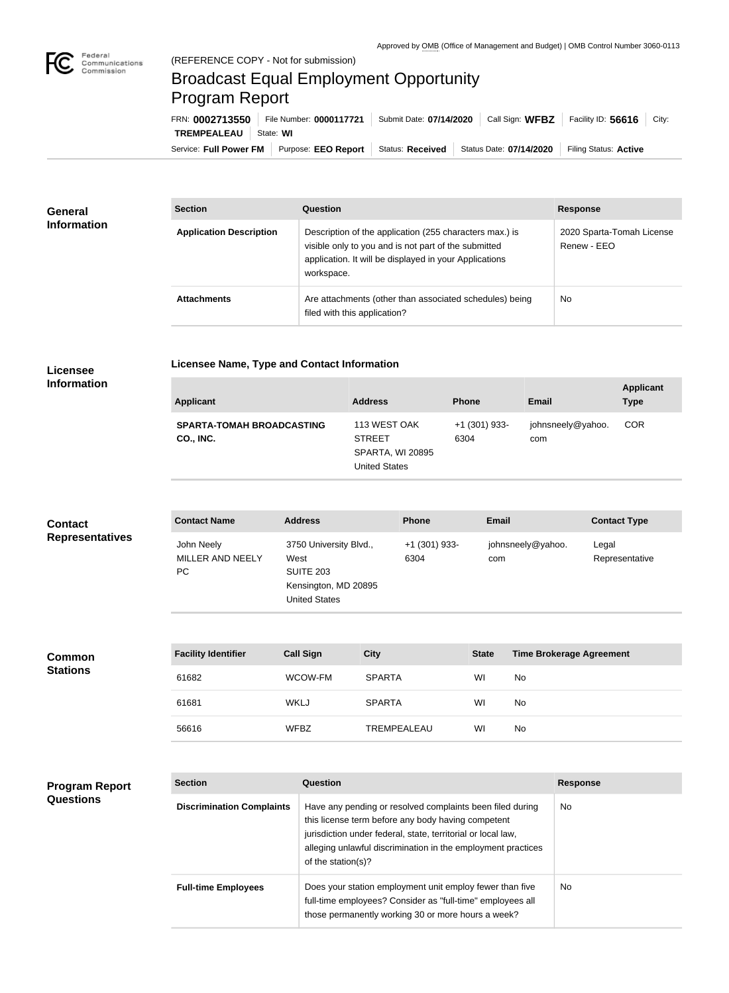

 $\overline{\phantom{a}}$ 

# Broadcast Equal Employment Opportunity Program Report

**Licensee Name, Type and Contact Information**

Service: Full Power FM | Purpose: EEO Report | Status: Received | Status Date: 07/14/2020 | Filing Status: Active **TREMPEALEAU** State: **WI** FRN: **0002713550** File Number: **0000117721** Submit Date: **07/14/2020** Call Sign: **WFBZ** Facility ID: **56616** City:

| <b>General</b><br><b>Information</b> | <b>Section</b>                 | <b>Question</b>                                                                                                                                                                         | <b>Response</b>                          |
|--------------------------------------|--------------------------------|-----------------------------------------------------------------------------------------------------------------------------------------------------------------------------------------|------------------------------------------|
|                                      | <b>Application Description</b> | Description of the application (255 characters max.) is<br>visible only to you and is not part of the submitted<br>application. It will be displayed in your Applications<br>workspace. | 2020 Sparta-Tomah License<br>Renew - EEO |
|                                      | <b>Attachments</b>             | Are attachments (other than associated schedules) being<br>filed with this application?                                                                                                 | No.                                      |

### **Licensee Information**

| <b>Applicant</b>                              | <b>Address</b>                                                                   | <b>Phone</b>          | <b>Email</b>             | <b>Applicant</b><br><b>Type</b> |
|-----------------------------------------------|----------------------------------------------------------------------------------|-----------------------|--------------------------|---------------------------------|
| <b>SPARTA-TOMAH BROADCASTING</b><br>CO., INC. | 113 WEST OAK<br><b>STREET</b><br><b>SPARTA, WI 20895</b><br><b>United States</b> | +1 (301) 933-<br>6304 | johnsneely@yahoo.<br>com | <b>COR</b>                      |

| <b>Contact</b>         | <b>Contact Name</b>                   | <b>Address</b>                                                                                     | <b>Phone</b>          | <b>Email</b>             | <b>Contact Type</b>     |
|------------------------|---------------------------------------|----------------------------------------------------------------------------------------------------|-----------------------|--------------------------|-------------------------|
| <b>Representatives</b> | John Neely<br>MILLER AND NEELY<br>PC. | 3750 University Blvd.,<br>West<br><b>SUITE 203</b><br>Kensington, MD 20895<br><b>United States</b> | +1 (301) 933-<br>6304 | johnsneely@yahoo.<br>com | Legal<br>Representative |

| <b>Common</b><br><b>Stations</b> | <b>Facility Identifier</b> | <b>Call Sign</b> | <b>City</b>        | <b>State</b> | <b>Time Brokerage Agreement</b> |
|----------------------------------|----------------------------|------------------|--------------------|--------------|---------------------------------|
|                                  | 61682                      | WCOW-FM          | <b>SPARTA</b>      | WI           | No                              |
|                                  | 61681                      | <b>WKLJ</b>      | <b>SPARTA</b>      | WI           | No                              |
|                                  | 56616                      | <b>WFBZ</b>      | <b>TREMPEALEAU</b> | WI           | No                              |

| <b>Program Report</b><br><b>Questions</b> | <b>Section</b>                   | <b>Question</b>                                                                                                                                                                                                                                                       | <b>Response</b> |
|-------------------------------------------|----------------------------------|-----------------------------------------------------------------------------------------------------------------------------------------------------------------------------------------------------------------------------------------------------------------------|-----------------|
|                                           | <b>Discrimination Complaints</b> | Have any pending or resolved complaints been filed during<br>this license term before any body having competent<br>jurisdiction under federal, state, territorial or local law,<br>alleging unlawful discrimination in the employment practices<br>of the station(s)? | No.             |
|                                           | <b>Full-time Employees</b>       | Does your station employment unit employ fewer than five<br>full-time employees? Consider as "full-time" employees all<br>those permanently working 30 or more hours a week?                                                                                          | No.             |